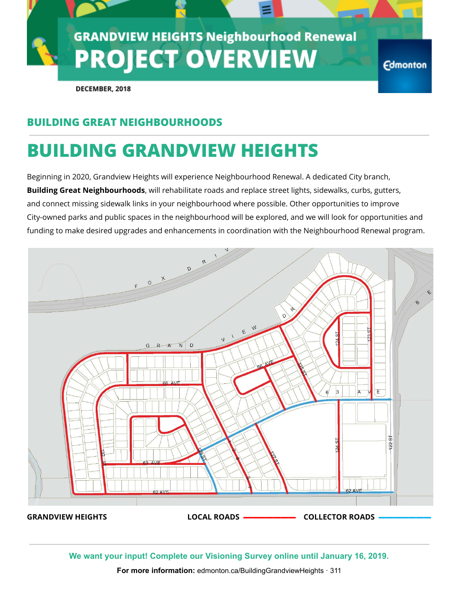

DECEMBER, 2018

### **BUILDING GREAT NEIGHBOURHOODS**

# **BUILDING GRANDVIEW HEIGHTS**

Beginning in 2020, Grandview Heights will experience Neighbourhood Renewal. A dedicated City branch, **Building Great Neighbourhoods**, will rehabilitate roads and replace street lights, sidewalks, curbs, gutters, and connect missing sidewalk links in your neighbourhood where possible. Other opportunities to improve City-owned parks and public spaces in the neighbourhood will be explored, and we will look for opportunities and funding to make desired upgrades and enhancements in coordination with the Neighbourhood Renewal program.



**We want your input! Complete our Visioning Survey online until January 16, 2019.**

**For more information:** edmonton.ca/BuildingGrandviewHeights · 311